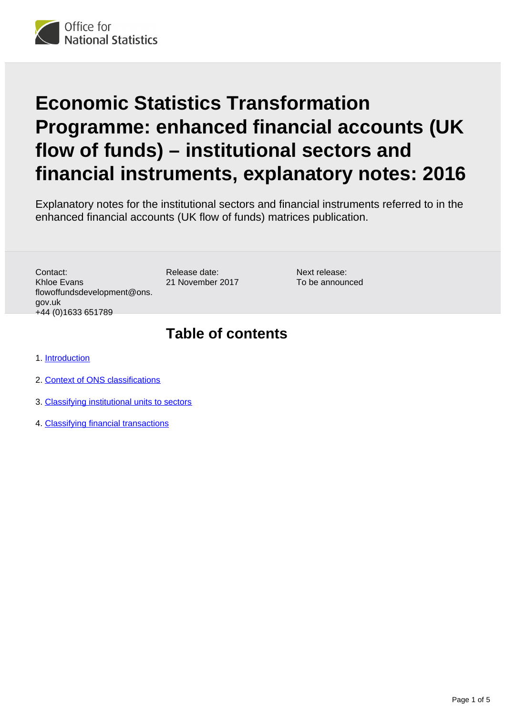

# **Economic Statistics Transformation Programme: enhanced financial accounts (UK flow of funds) – institutional sectors and financial instruments, explanatory notes: 2016**

Explanatory notes for the institutional sectors and financial instruments referred to in the enhanced financial accounts (UK flow of funds) matrices publication.

Contact: Khloe Evans flowoffundsdevelopment@ons. gov.uk +44 (0)1633 651789

Release date: 21 November 2017

Next release: To be announced

### **Table of contents**

- 1. [Introduction](#page-1-0)
- 2. [Context of ONS classifications](#page-1-1)
- 3. [Classifying institutional units to sectors](#page-1-2)
- 4. [Classifying financial transactions](#page-3-0)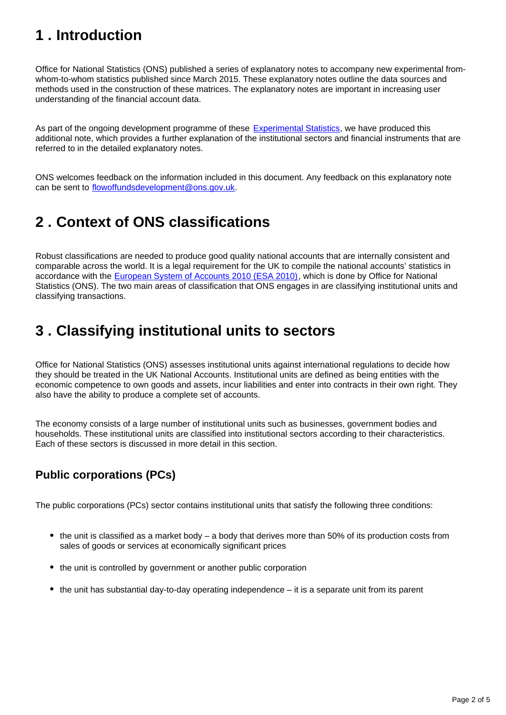# <span id="page-1-0"></span>**1 . Introduction**

Office for National Statistics (ONS) published a series of explanatory notes to accompany new experimental fromwhom-to-whom statistics published since March 2015. These explanatory notes outline the data sources and methods used in the construction of these matrices. The explanatory notes are important in increasing user understanding of the financial account data.

As part of the ongoing development programme of these [Experimental Statistics](https://www.ons.gov.uk/economy/nationalaccounts/uksectoraccounts/articles/economicstatisticstransformationprogramme/enhancedfinancialaccountsukflowoffundsexperimentalbalancesheetstatistics1997to2016), we have produced this additional note, which provides a further explanation of the institutional sectors and financial instruments that are referred to in the detailed explanatory notes.

ONS welcomes feedback on the information included in this document. Any feedback on this explanatory note can be sent to flowoffundsdevelopment@ons.gov.uk.

# <span id="page-1-1"></span>**2 . Context of ONS classifications**

Robust classifications are needed to produce good quality national accounts that are internally consistent and comparable across the world. It is a legal requirement for the UK to compile the national accounts' statistics in accordance with the [European System of Accounts 2010 \(ESA 2010\)](http://ec.europa.eu/eurostat/web/esa-2010), which is done by Office for National Statistics (ONS). The two main areas of classification that ONS engages in are classifying institutional units and classifying transactions.

## <span id="page-1-2"></span>**3 . Classifying institutional units to sectors**

Office for National Statistics (ONS) assesses institutional units against international regulations to decide how they should be treated in the UK National Accounts. Institutional units are defined as being entities with the economic competence to own goods and assets, incur liabilities and enter into contracts in their own right. They also have the ability to produce a complete set of accounts.

The economy consists of a large number of institutional units such as businesses, government bodies and households. These institutional units are classified into institutional sectors according to their characteristics. Each of these sectors is discussed in more detail in this section.

### **Public corporations (PCs)**

The public corporations (PCs) sector contains institutional units that satisfy the following three conditions:

- $\bullet$  the unit is classified as a market body a body that derives more than 50% of its production costs from sales of goods or services at economically significant prices
- the unit is controlled by government or another public corporation
- the unit has substantial day-to-day operating independence it is a separate unit from its parent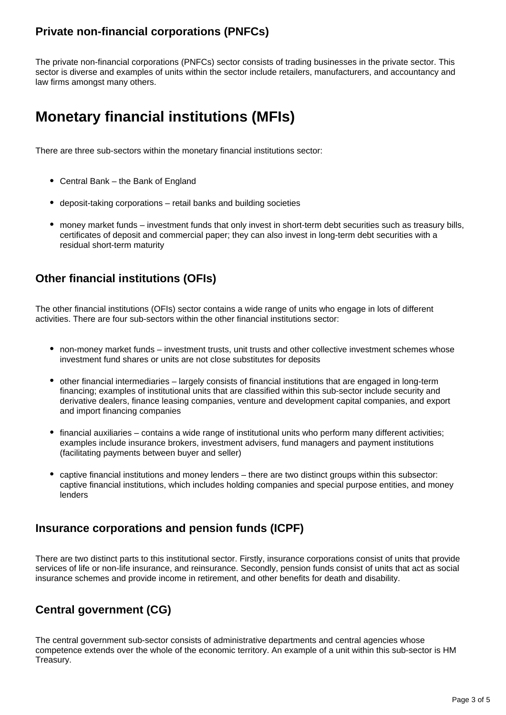#### **Private non-financial corporations (PNFCs)**

The private non-financial corporations (PNFCs) sector consists of trading businesses in the private sector. This sector is diverse and examples of units within the sector include retailers, manufacturers, and accountancy and law firms amongst many others.

# **Monetary financial institutions (MFIs)**

There are three sub-sectors within the monetary financial institutions sector:

- Central Bank the Bank of England
- deposit-taking corporations retail banks and building societies
- money market funds investment funds that only invest in short-term debt securities such as treasury bills, certificates of deposit and commercial paper; they can also invest in long-term debt securities with a residual short-term maturity

#### **Other financial institutions (OFIs)**

The other financial institutions (OFIs) sector contains a wide range of units who engage in lots of different activities. There are four sub-sectors within the other financial institutions sector:

- non-money market funds investment trusts, unit trusts and other collective investment schemes whose investment fund shares or units are not close substitutes for deposits
- other financial intermediaries largely consists of financial institutions that are engaged in long-term financing; examples of institutional units that are classified within this sub-sector include security and derivative dealers, finance leasing companies, venture and development capital companies, and export and import financing companies
- financial auxiliaries contains a wide range of institutional units who perform many different activities; examples include insurance brokers, investment advisers, fund managers and payment institutions (facilitating payments between buyer and seller)
- captive financial institutions and money lenders there are two distinct groups within this subsector: captive financial institutions, which includes holding companies and special purpose entities, and money lenders

#### **Insurance corporations and pension funds (ICPF)**

There are two distinct parts to this institutional sector. Firstly, insurance corporations consist of units that provide services of life or non-life insurance, and reinsurance. Secondly, pension funds consist of units that act as social insurance schemes and provide income in retirement, and other benefits for death and disability.

### **Central government (CG)**

The central government sub-sector consists of administrative departments and central agencies whose competence extends over the whole of the economic territory. An example of a unit within this sub-sector is HM Treasury.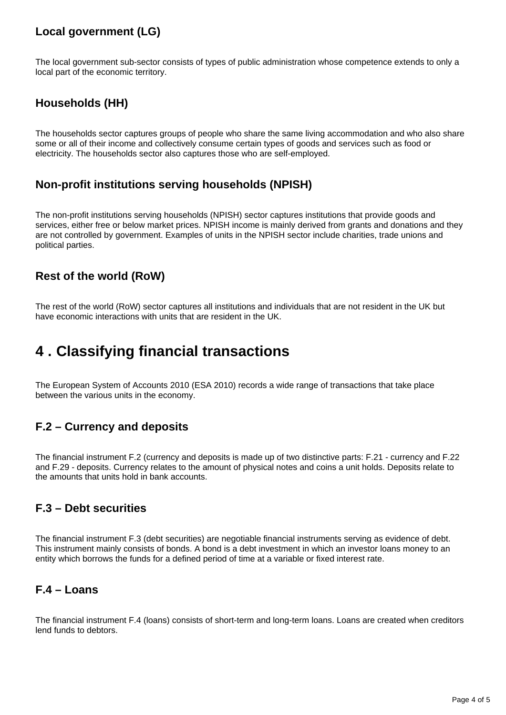### **Local government (LG)**

The local government sub-sector consists of types of public administration whose competence extends to only a local part of the economic territory.

#### **Households (HH)**

The households sector captures groups of people who share the same living accommodation and who also share some or all of their income and collectively consume certain types of goods and services such as food or electricity. The households sector also captures those who are self-employed.

#### **Non-profit institutions serving households (NPISH)**

The non-profit institutions serving households (NPISH) sector captures institutions that provide goods and services, either free or below market prices. NPISH income is mainly derived from grants and donations and they are not controlled by government. Examples of units in the NPISH sector include charities, trade unions and political parties.

#### **Rest of the world (RoW)**

The rest of the world (RoW) sector captures all institutions and individuals that are not resident in the UK but have economic interactions with units that are resident in the UK.

### <span id="page-3-0"></span>**4 . Classifying financial transactions**

The European System of Accounts 2010 (ESA 2010) records a wide range of transactions that take place between the various units in the economy.

#### **F.2 – Currency and deposits**

The financial instrument F.2 (currency and deposits is made up of two distinctive parts: F.21 - currency and F.22 and F.29 - deposits. Currency relates to the amount of physical notes and coins a unit holds. Deposits relate to the amounts that units hold in bank accounts.

#### **F.3 – Debt securities**

The financial instrument F.3 (debt securities) are negotiable financial instruments serving as evidence of debt. This instrument mainly consists of bonds. A bond is a debt investment in which an investor loans money to an entity which borrows the funds for a defined period of time at a variable or fixed interest rate.

#### **F.4 – Loans**

The financial instrument F.4 (loans) consists of short-term and long-term loans. Loans are created when creditors lend funds to debtors.